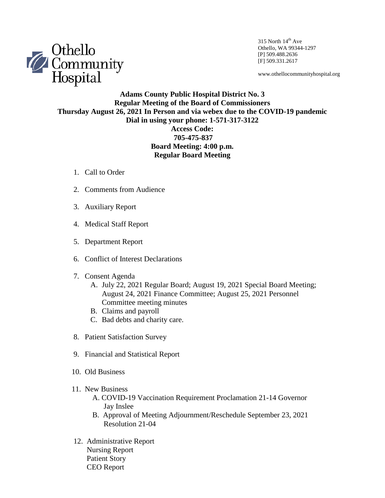

315 North  $14<sup>th</sup>$  Ave Othello, WA 99344-1297 [P] 509.488.2636 [F] 509.331.2617

www.othellocommunityhospital.org

## **Adams County Public Hospital District No. 3 Regular Meeting of the Board of Commissioners Thursday August 26, 2021 In Person and via webex due to the COVID-19 pandemic Dial in using your phone: 1-571-317-3122 Access Code: 705-475-837 Board Meeting: 4:00 p.m.**

**Regular Board Meeting**

- 1. Call to Order
- 2. Comments from Audience
- 3. Auxiliary Report
- 4. Medical Staff Report
- 5. Department Report
- 6. Conflict of Interest Declarations
- 7. Consent Agenda
	- A. July 22, 2021 Regular Board; August 19, 2021 Special Board Meeting; August 24, 2021 Finance Committee; August 25, 2021 Personnel Committee meeting minutes
	- B. Claims and payroll
	- C. Bad debts and charity care.
- 8. Patient Satisfaction Survey
- 9. Financial and Statistical Report
- 10. Old Business
- 11. New Business
	- A. COVID-19 Vaccination Requirement Proclamation 21-14 Governor Jay Inslee
	- B. Approval of Meeting Adjournment/Reschedule September 23, 2021 Resolution 21-04
- 12. Administrative Report Nursing Report Patient Story CEO Report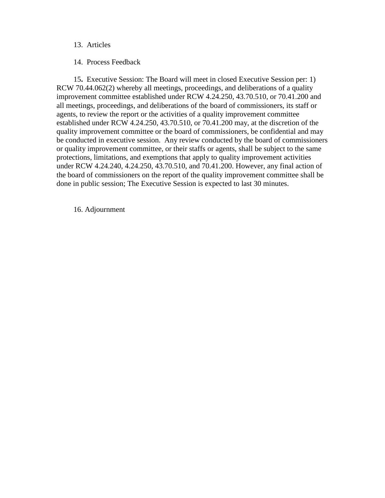### 13. Articles

14. Process Feedback

 15**.** Executive Session: The Board will meet in closed Executive Session per: 1) RCW 70.44.062(2) whereby all meetings, proceedings, and deliberations of a quality improvement committee established under RCW 4.24.250, 43.70.510, or 70.41.200 and all meetings, proceedings, and deliberations of the board of commissioners, its staff or agents, to review the report or the activities of a quality improvement committee established under RCW 4.24.250, 43.70.510, or 70.41.200 may, at the discretion of the quality improvement committee or the board of commissioners, be confidential and may be conducted in executive session. Any review conducted by the board of commissioners or quality improvement committee, or their staffs or agents, shall be subject to the same protections, limitations, and exemptions that apply to quality improvement activities under RCW 4.24.240, 4.24.250, 43.70.510, and 70.41.200. However, any final action of the board of commissioners on the report of the quality improvement committee shall be done in public session; The Executive Session is expected to last 30 minutes.

16. Adjournment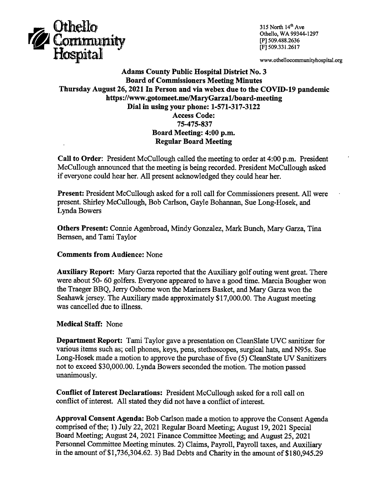

315 North 14th Ave Othello, WA 99344-1297 [P] 509.488.2636 [F] 509.331.2617

www.othellocommunityhospital.org

## **Adams County Public Hospital District No. 3 Board of Commissioners Meeting Minutes** Thursday August 26, 2021 In Person and via webex due to the COVID-19 pandemic https://www.gotomeet.me/MaryGarza1/board-meeting Dial in using your phone: 1-571-317-3122 **Access Code:** 75-475-837 Board Meeting: 4:00 p.m. **Regular Board Meeting**

Call to Order: President McCullough called the meeting to order at 4:00 p.m. President McCullough announced that the meeting is being recorded. President McCullough asked if everyone could hear her. All present acknowledged they could hear her.

Present: President McCullough asked for a roll call for Commissioners present. All were present. Shirley McCullough, Bob Carlson, Gayle Bohannan, Sue Long-Hosek, and Lynda Bowers

Others Present: Connie Agenbroad, Mindy Gonzalez, Mark Bunch, Mary Garza, Tina Bernsen, and Tami Taylor

### **Comments from Audience: None**

**Auxiliary Report:** Mary Garza reported that the Auxiliary golf outing went great. There were about 50-60 golfers. Everyone appeared to have a good time. Marcia Bougher won the Traeger BBQ, Jerry Osborne won the Mariners Basket, and Mary Garza won the Seahawk jersey. The Auxiliary made approximately \$17,000.00. The August meeting was cancelled due to illness.

#### **Medical Staff: None**

**Department Report:** Tami Taylor gave a presentation on CleanSlate UVC sanitizer for various items such as; cell phones, keys, pens, stethoscopes, surgical hats, and N95s. Sue Long-Hosek made a motion to approve the purchase of five (5) CleanState UV Sanitizers not to exceed \$30,000.00. Lynda Bowers seconded the motion. The motion passed unanimously.

Conflict of Interest Declarations: President McCullough asked for a roll call on conflict of interest. All stated they did not have a conflict of interest.

Approval Consent Agenda: Bob Carlson made a motion to approve the Consent Agenda comprised of the; 1) July 22, 2021 Regular Board Meeting; August 19, 2021 Special Board Meeting; August 24, 2021 Finance Committee Meeting; and August 25, 2021 Personnel Committee Meeting minutes. 2) Claims, Payroll, Payroll taxes, and Auxiliary in the amount of \$1,736,304.62. 3) Bad Debts and Charity in the amount of \$180,945.29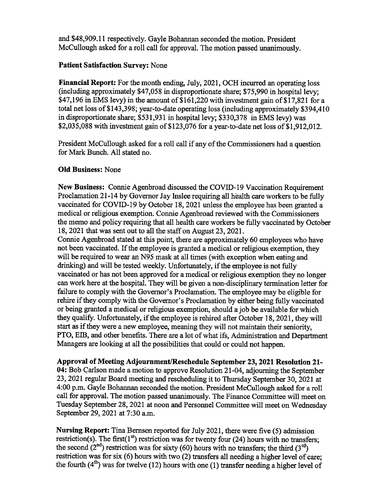and \$48,909.11 respectively. Gayle Bohannan seconded the motion. President McCullough asked for a roll call for approval. The motion passed unanimously.

# **Patient Satisfaction Survey: None**

Financial Report: For the month ending, July, 2021, OCH incurred an operating loss (including approximately \$47,058 in disproportionate share; \$75,990 in hospital levy; \$47,196 in EMS levy) in the amount of \$161,220 with investment gain of \$17,821 for a total net loss of \$143,398; year-to-date operating loss (including approximately \$394,410) in disproportionate share; \$531,931 in hospital levy; \$330,378 in EMS levy) was \$2,035,088 with investment gain of \$123,076 for a year-to-date net loss of \$1,912,012.

President McCullough asked for a roll call if any of the Commissioners had a question for Mark Bunch. All stated no.

# **Old Business: None**

New Business: Connie Agenbroad discussed the COVID-19 Vaccination Requirement Proclamation 21-14 by Governor Jay Inslee requiring all health care workers to be fully vaccinated for COVID-19 by October 18, 2021 unless the employee has been granted a medical or religious exemption. Connie Agenbroad reviewed with the Commissioners the memo and policy requiring that all health care workers be fully vaccinated by October 18, 2021 that was sent out to all the staff on August 23, 2021.

Connie Agenbroad stated at this point, there are approximately 60 employees who have not been vaccinated. If the employee is granted a medical or religious exemption, they will be required to wear an N95 mask at all times (with exception when eating and drinking) and will be tested weekly. Unfortunately, if the employee is not fully vaccinated or has not been approved for a medical or religious exemption they no longer can work here at the hospital. They will be given a non-disciplinary termination letter for failure to comply with the Governor's Proclamation. The employee may be eligible for rehire if they comply with the Governor's Proclamation by either being fully vaccinated or being granted a medical or religious exemption, should a job be available for which they qualify. Unfortunately, if the employee is rehired after October 18, 2021, they will start as if they were a new employee, meaning they will not maintain their seniority. PTO, EIB, and other benefits. There are a lot of what ifs, Administration and Department Managers are looking at all the possibilities that could or could not happen.

Approval of Meeting Adjournment/Reschedule September 23, 2021 Resolution 21-04: Bob Carlson made a motion to approve Resolution 21-04, adjourning the September 23, 2021 regular Board meeting and rescheduling it to Thursday September 30, 2021 at 4:00 p.m. Gayle Bohannan seconded the motion. President McCullough asked for a roll call for approval. The motion passed unanimously. The Finance Committee will meet on Tuesday September 28, 2021 at noon and Personnel Committee will meet on Wednesday September 29, 2021 at 7:30 a.m.

Nursing Report: Tina Bernsen reported for July 2021, there were five (5) admission restriction(s). The first( $1<sup>st</sup>$ ) restriction was for twenty four (24) hours with no transfers; the second  $(2^{nd})$  restriction was for sixty (60) hours with no transfers; the third  $(3^{rd})$ restriction was for six (6) hours with two (2) transfers all needing a higher level of care; the fourth  $(4<sup>th</sup>)$  was for twelve (12) hours with one (1) transfer needing a higher level of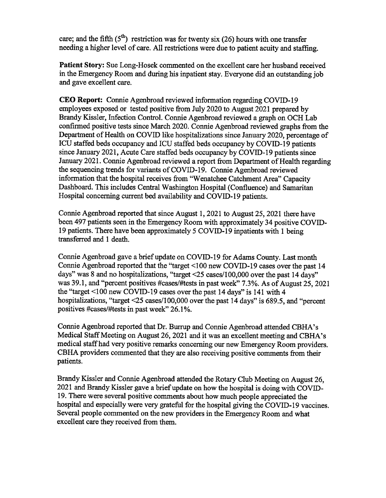care: and the fifth  $(5<sup>th</sup>)$  restriction was for twenty six (26) hours with one transfer needing a higher level of care. All restrictions were due to patient acuity and staffing.

**Patient Story:** Sue Long-Hosek commented on the excellent care her husband received in the Emergency Room and during his inpatient stay. Everyone did an outstanding job and gave excellent care.

CEO Report: Connie Agenbroad reviewed information regarding COVID-19 employees exposed or tested positive from July 2020 to August 2021 prepared by Brandy Kissler, Infection Control. Connie Agenbroad reviewed a graph on OCH Lab confirmed positive tests since March 2020. Connie Agenbroad reviewed graphs from the Department of Health on COVID like hospitalizations since January 2020, percentage of ICU staffed beds occupancy and ICU staffed beds occupancy by COVID-19 patients since January 2021, Acute Care staffed beds occupancy by COVID-19 patients since January 2021. Connie Agenbroad reviewed a report from Department of Health regarding the sequencing trends for variants of COVID-19. Connie Agenbroad reviewed information that the hospital receives from "Wenatchee Catchment Area" Capacity Dashboard. This includes Central Washington Hospital (Confluence) and Samaritan Hospital concerning current bed availability and COVID-19 patients.

Connie Agenbroad reported that since August 1, 2021 to August 25, 2021 there have been 497 patients seen in the Emergency Room with approximately 34 positive COVID-19 patients. There have been approximately 5 COVID-19 inpatients with 1 being transferred and 1 death.

Connie Agenbroad gave a brief update on COVID-19 for Adams County. Last month Connie Agenbroad reported that the "target <100 new COVID-19 cases over the past 14 days" was 8 and no hospitalizations, "target <25 cases/100,000 over the past 14 days" was 39.1, and "percent positives #cases/#tests in past week" 7.3%. As of August 25, 2021 the "target  $\leq 100$  new COVID-19 cases over the past 14 days" is 141 with 4 hospitalizations, "target  $\leq$  25 cases/100,000 over the past 14 days" is 689.5, and "percent positives #cases/#tests in past week" 26.1%.

Connie Agenbroad reported that Dr. Burrup and Connie Agenbroad attended CBHA's Medical Staff Meeting on August 26, 2021 and it was an excellent meeting and CBHA's medical staff had very positive remarks concerning our new Emergency Room providers. CBHA providers commented that they are also receiving positive comments from their patients.

Brandy Kissler and Connie Agenbroad attended the Rotary Club Meeting on August 26, 2021 and Brandy Kissler gave a brief update on how the hospital is doing with COVID-19. There were several positive comments about how much people appreciated the hospital and especially were very grateful for the hospital giving the COVID-19 vaccines. Several people commented on the new providers in the Emergency Room and what excellent care they received from them.